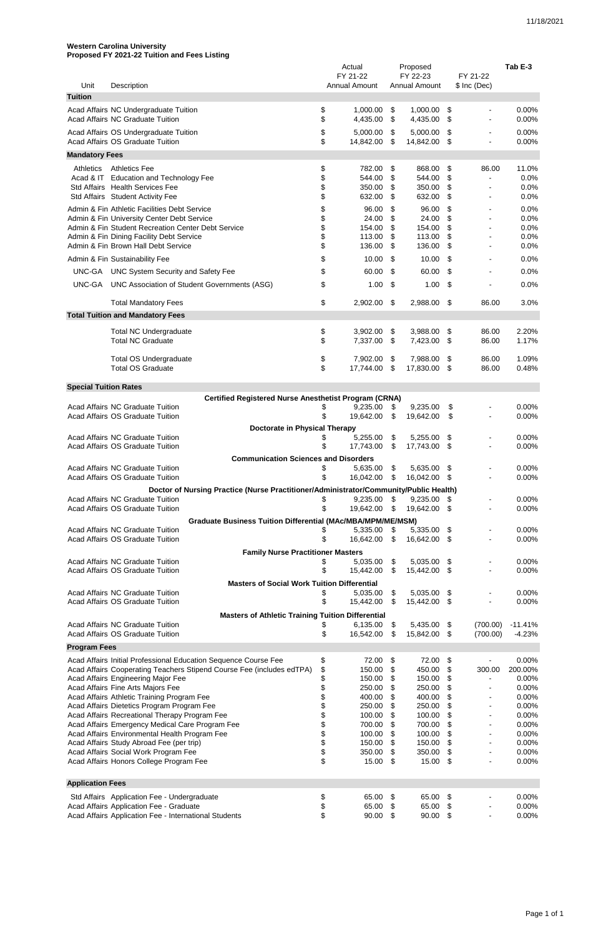## **Western Carolina University Proposed FY 2021-22 Tuition and Fees Listing**

|                              |                                                                                                               | Actual   |                                  |                           | Proposed                         |           |                                  | Tab E-3          |
|------------------------------|---------------------------------------------------------------------------------------------------------------|----------|----------------------------------|---------------------------|----------------------------------|-----------|----------------------------------|------------------|
| Unit                         | Description                                                                                                   |          | FY 21-22<br><b>Annual Amount</b> |                           | FY 22-23<br><b>Annual Amount</b> |           | FY 21-22<br>$$$ Inc (Dec)        |                  |
| <b>Tuition</b>               |                                                                                                               |          |                                  |                           |                                  |           |                                  |                  |
|                              | Acad Affairs NC Undergraduate Tuition                                                                         | \$       | 1,000.00                         | \$                        | 1,000.00                         | \$        |                                  | 0.00%            |
|                              | <b>Acad Affairs NC Graduate Tuition</b>                                                                       | \$       | 4,435.00                         | \$                        | 4,435.00                         | \$        | $\blacksquare$                   | 0.00%            |
|                              | Acad Affairs OS Undergraduate Tuition                                                                         | \$       | 5,000.00                         | \$                        | 5,000.00                         | S         | $\blacksquare$                   | 0.00%            |
|                              | <b>Acad Affairs OS Graduate Tuition</b>                                                                       | \$       | 14,842.00                        | \$                        | 14,842.00                        | \$        |                                  | 0.00%            |
| <b>Mandatory Fees</b>        |                                                                                                               |          |                                  |                           |                                  |           |                                  |                  |
| <b>Athletics</b>             | <b>Athletics Fee</b>                                                                                          | \$       | 782.00                           | \$                        | 868.00                           | \$        | 86.00                            | 11.0%            |
|                              | Acad & IT Education and Technology Fee<br>Std Affairs Health Services Fee                                     | \$<br>\$ | 544.00<br>350.00                 | \$<br>\$                  | 544.00<br>350.00                 | \$<br>\$  |                                  | 0.0%<br>0.0%     |
|                              | Std Affairs Student Activity Fee                                                                              | \$       | 632.00                           | \$                        | 632.00                           | \$        |                                  | 0.0%             |
|                              | Admin & Fin Athletic Facilities Debt Service                                                                  | \$       | 96.00                            | \$                        | 96.00                            | \$        |                                  | 0.0%             |
|                              | Admin & Fin University Center Debt Service                                                                    | \$       | 24.00                            | \$                        | 24.00                            | \$        |                                  | 0.0%             |
|                              | Admin & Fin Student Recreation Center Debt Service                                                            | \$       | 154.00                           | \$                        | 154.00                           | \$        |                                  | 0.0%             |
|                              | Admin & Fin Dining Facility Debt Service<br>Admin & Fin Brown Hall Debt Service                               | \$<br>\$ | 113.00<br>136.00                 | \$<br>\$                  | 113.00<br>136.00                 | \$<br>\$  |                                  | 0.0%<br>0.0%     |
|                              | Admin & Fin Sustainability Fee                                                                                | \$       | 10.00                            | \$                        | 10.00                            | \$        |                                  | 0.0%             |
| UNC-GA                       | <b>UNC System Security and Safety Fee</b>                                                                     | \$       | 60.00                            | \$                        | 60.00                            | \$        |                                  | 0.0%             |
| <b>UNC-GA</b>                | UNC Association of Student Governments (ASG)                                                                  | \$       | 1.00                             | \$                        | 1.00                             | \$        |                                  | 0.0%             |
|                              |                                                                                                               |          |                                  |                           |                                  |           |                                  |                  |
|                              | <b>Total Mandatory Fees</b>                                                                                   | \$       | 2,902.00                         | \$                        | 2,988.00                         | \$        | 86.00                            | 3.0%             |
|                              | <b>Total Tuition and Mandatory Fees</b>                                                                       |          |                                  |                           |                                  |           |                                  |                  |
|                              | <b>Total NC Undergraduate</b>                                                                                 | \$       | 3,902.00                         | \$                        | 3,988.00                         | \$        | 86.00                            | 2.20%            |
|                              | <b>Total NC Graduate</b>                                                                                      | \$       | 7,337.00                         | \$                        | 7,423.00                         | \$        | 86.00                            | 1.17%            |
|                              |                                                                                                               |          |                                  |                           |                                  |           |                                  |                  |
|                              | <b>Total OS Undergraduate</b><br><b>Total OS Graduate</b>                                                     | \$<br>\$ | 7,902.00<br>17,744.00            | \$<br>\$                  | 7,988.00<br>17,830.00            | \$<br>\$  | 86.00<br>86.00                   | 1.09%<br>0.48%   |
|                              |                                                                                                               |          |                                  |                           |                                  |           |                                  |                  |
| <b>Special Tuition Rates</b> |                                                                                                               |          |                                  |                           |                                  |           |                                  |                  |
|                              | <b>Certified Registered Nurse Anesthetist Program (CRNA)</b><br><b>Acad Affairs NC Graduate Tuition</b>       |          | 9,235.00                         | \$                        | 9,235.00                         | \$        |                                  | $0.00\%$         |
|                              | Acad Affairs OS Graduate Tuition                                                                              |          | 19,642.00                        | \$.                       | 19,642.00                        | \$        |                                  | 0.00%            |
|                              | <b>Doctorate in Physical Therapy</b>                                                                          |          |                                  |                           |                                  |           |                                  |                  |
|                              | <b>Acad Affairs NC Graduate Tuition</b>                                                                       |          | 5,255.00                         | \$                        | 5,255.00                         | \$        |                                  | 0.00%            |
|                              | <b>Acad Affairs OS Graduate Tuition</b>                                                                       |          | 17,743.00                        | \$                        | 17,743.00                        | \$        |                                  | 0.00%            |
|                              | <b>Communication Sciences and Disorders</b><br><b>Acad Affairs NC Graduate Tuition</b>                        | \$       | 5,635.00                         | \$                        | 5,635.00                         | \$        |                                  | 0.00%            |
|                              | <b>Acad Affairs OS Graduate Tuition</b>                                                                       | \$       | 16,042.00                        | \$                        | 16,042.00                        | \$        |                                  | 0.00%            |
|                              | Doctor of Nursing Practice (Nurse Practitioner/Administrator/Community/Public Health)                         |          |                                  |                           |                                  |           |                                  |                  |
|                              | Acad Affairs NC Graduate Tuition                                                                              |          | 9,235.00                         | \$                        | 9,235.00                         | \$        | $\blacksquare$                   | 0.00%            |
|                              | <b>Acad Affairs OS Graduate Tuition</b>                                                                       |          | 19,642.00                        | \$                        | 19,642.00                        | \$        | $\blacksquare$                   | 0.00%            |
|                              | <b>Graduate Business Tuition Differential (MAc/MBA/MPM/ME/MSM)</b><br><b>Acad Affairs NC Graduate Tuition</b> |          | 5,335.00                         | \$                        | 5,335.00                         | \$        |                                  | 0.00%            |
|                              | <b>Acad Affairs OS Graduate Tuition</b>                                                                       | \$       | 16,642.00                        | S                         | 16,642.00                        | - \$      |                                  | 0.00%            |
|                              | <b>Family Nurse Practitioner Masters</b>                                                                      |          |                                  |                           |                                  |           |                                  |                  |
|                              | <b>Acad Affairs NC Graduate Tuition</b>                                                                       | \$       | 5,035.00                         | \$                        | 5,035.00                         | \$        |                                  | 0.00%            |
|                              | <b>Acad Affairs OS Graduate Tuition</b>                                                                       |          | 15,442.00                        | \$                        | 15,442.00                        | \$        |                                  | 0.00%            |
|                              | <b>Masters of Social Work Tuition Differential</b><br><b>Acad Affairs NC Graduate Tuition</b>                 |          | 5,035.00                         |                           |                                  |           |                                  | 0.00%            |
|                              | Acad Affairs OS Graduate Tuition                                                                              | \$       | 15,442.00                        | \$<br>\$                  | 5,035.00<br>15,442.00            | \$<br>-\$ |                                  | 0.00%            |
|                              | <b>Masters of Athletic Training Tuition Differential</b>                                                      |          |                                  |                           |                                  |           |                                  |                  |
|                              | Acad Affairs NC Graduate Tuition                                                                              | \$       | 6,135.00                         | $\boldsymbol{\mathsf{S}}$ | 5,435.00                         | \$        | (700.00)                         | $-11.41%$        |
|                              | Acad Affairs OS Graduate Tuition                                                                              | \$       | 16,542.00                        | \$                        | 15,842.00                        | -\$       | (700.00)                         | $-4.23%$         |
| <b>Program Fees</b>          |                                                                                                               |          |                                  |                           |                                  |           |                                  |                  |
|                              | Acad Affairs Initial Professional Education Sequence Course Fee                                               | \$       | 72.00                            | \$                        | 72.00                            | \$        | $\blacksquare$                   | 0.00%            |
|                              | Acad Affairs Cooperating Teachers Stipend Course Fee (includes edTPA)<br>Acad Affairs Engineering Major Fee   | \$       | 150.00<br>150.00                 | \$<br>\$                  | 450.00<br>150.00                 | \$        | 300.00                           | 200.00%<br>0.00% |
|                              | Acad Affairs Fine Arts Majors Fee                                                                             | \$<br>\$ | 250.00                           | \$                        | 250.00                           | \$<br>\$  | $\blacksquare$<br>$\blacksquare$ | 0.00%            |
|                              | Acad Affairs Athletic Training Program Fee                                                                    | \$       | 400.00                           | \$                        | 400.00                           | \$        | $\blacksquare$                   | 0.00%            |
|                              | Acad Affairs Dietetics Program Program Fee<br>Acad Affairs Recreational Therapy Program Fee                   | \$       | 250.00<br>100.00                 | \$<br>\$                  | 250.00<br>100.00                 | \$<br>\$  | $\blacksquare$                   | 0.00%<br>0.00%   |
|                              | Acad Affairs Emergency Medical Care Program Fee                                                               | \$<br>\$ | 700.00                           | \$                        | 700.00                           | \$        | $\blacksquare$<br>$\blacksquare$ | 0.00%            |
|                              | Acad Affairs Environmental Health Program Fee                                                                 | \$       | 100.00                           | \$                        | 100.00                           | \$        | $\blacksquare$                   | 0.00%            |
|                              | Acad Affairs Study Abroad Fee (per trip)<br>Acad Affairs Social Work Program Fee                              | \$<br>\$ | 150.00<br>350.00                 | \$<br>\$                  | 150.00<br>350.00 \$              | \$        | $\blacksquare$                   | 0.00%<br>0.00%   |
|                              | Acad Affairs Honors College Program Fee                                                                       | \$       | 15.00 \$                         |                           | 15.00 \$                         |           |                                  | 0.00%            |
|                              |                                                                                                               |          |                                  |                           |                                  |           |                                  |                  |
| <b>Application Fees</b>      |                                                                                                               |          |                                  |                           |                                  |           |                                  |                  |
|                              | Std Affairs Application Fee - Undergraduate                                                                   | \$       | 65.00                            | \$                        | 65.00                            | \$        |                                  | 0.00%            |
|                              | Acad Affairs Application Fee - Graduate                                                                       | \$       | 65.00                            | \$                        | 65.00                            | S.        |                                  | 0.00%            |
|                              | Acad Affairs Application Fee - International Students                                                         | \$       | 90.00                            | \$                        | 90.00                            | \$        |                                  | 0.00%            |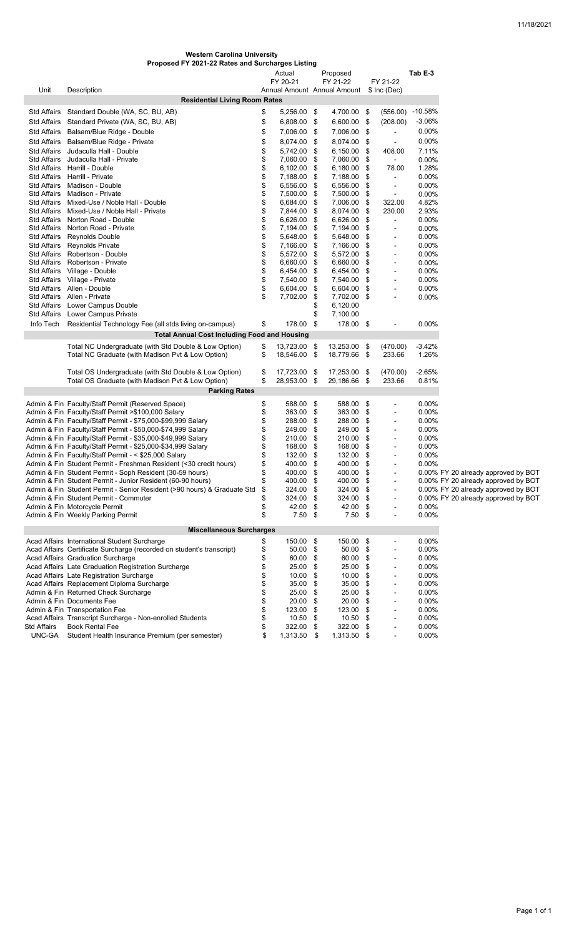| <b>Western Carolina University</b>               |
|--------------------------------------------------|
| Proposed FY 2021-22 Rates and Surcharges Listing |

|                            |                                                                                                         |          | Actual                     |      | Proposed                                |                          | Tab E-3          |                                     |
|----------------------------|---------------------------------------------------------------------------------------------------------|----------|----------------------------|------|-----------------------------------------|--------------------------|------------------|-------------------------------------|
| Unit                       | Description                                                                                             |          | FY 20-21                   |      | FY 21-22<br>Annual Amount Annual Amount | FY 21-22<br>\$ Inc (Dec) |                  |                                     |
|                            | <b>Residential Living Room Rates</b>                                                                    |          |                            |      |                                         |                          |                  |                                     |
|                            |                                                                                                         |          |                            |      |                                         |                          |                  |                                     |
| Std Affairs                | Standard Double (WA, SC, BU, AB)                                                                        | \$       | 5,256.00 \$                |      | 4,700.00 \$                             |                          | (556.00) -10.58% |                                     |
|                            | Std Affairs Standard Private (WA, SC, BU, AB)                                                           | \$       | 6,808.00 \$                |      | 6,600.00 \$                             | (208.00)                 | $-3.06%$         |                                     |
|                            | Std Affairs Balsam/Blue Ridge - Double                                                                  | \$       | 7,006.00 \$                |      | 7,006.00 \$                             |                          | 0.00%            |                                     |
|                            | Std Affairs Balsam/Blue Ridge - Private                                                                 | \$       | 8,074.00 \$                |      | 8,074.00 \$                             | $\blacksquare$           | 0.00%            |                                     |
| Std Affairs                | Judaculla Hall - Double                                                                                 | \$       | 5,742.00                   | -\$  | 6,150.00 \$                             | 408.00                   | 7.11%            |                                     |
| Std Affairs                | Judaculla Hall - Private                                                                                | \$       | 7,060.00                   | - \$ | 7,060.00 \$                             | $\sim$                   | 0.00%            |                                     |
| Std Affairs<br>Std Affairs | Harrill - Double                                                                                        | \$<br>\$ | $6,102.00$ \$              |      | 6,180.00 \$                             | 78.00                    | 1.28%            |                                     |
|                            | Harrill - Private<br>Std Affairs Madison - Double                                                       | \$       | 7,188.00 \$<br>6,556.00 \$ |      | 7,188.00 \$<br>6,556.00 \$              | $\blacksquare$           | 0.00%<br>0.00%   |                                     |
|                            | Std Affairs Madison - Private                                                                           | \$       | 7,500.00 \$                |      | 7,500.00 \$                             | $\blacksquare$           | 0.00%            |                                     |
|                            | Std Affairs Mixed-Use / Noble Hall - Double                                                             | \$       | 6,684.00 \$                |      | 7,006.00 \$                             | 322.00                   | 4.82%            |                                     |
|                            | Std Affairs Mixed-Use / Noble Hall - Private                                                            | \$       | 7,844.00 \$                |      | 8,074.00 \$                             | 230.00                   | 2.93%            |                                     |
|                            | Std Affairs Norton Road - Double                                                                        | \$       | 6,626.00 \$                |      | 6,626.00 \$                             | $\blacksquare$           | 0.00%            |                                     |
|                            | Std Affairs Norton Road - Private                                                                       | \$       | 7,194.00 \$                |      | 7,194.00 \$                             | $\sim$                   | 0.00%            |                                     |
|                            | Std Affairs Reynolds Double                                                                             | \$       | 5,648.00 \$                |      | 5,648.00 \$                             | $\blacksquare$           | 0.00%            |                                     |
|                            | Std Affairs Reynolds Private                                                                            | \$       | 7,166.00 \$                |      | 7,166.00 \$                             |                          | 0.00%            |                                     |
|                            | Std Affairs Robertson - Double                                                                          | \$       | 5,572.00 \$                |      | 5,572.00 \$                             |                          | 0.00%            |                                     |
|                            | Std Affairs Robertson - Private                                                                         | \$       | 6,660.00                   | - \$ | 6,660.00 \$                             |                          | 0.00%            |                                     |
|                            | Std Affairs Village - Double                                                                            | \$       | 6,454.00                   | -\$  | 6,454.00                                | \$                       | 0.00%            |                                     |
|                            | Std Affairs Village - Private                                                                           | \$       | 7,540.00 \$                |      | 7,540.00 \$                             | $\overline{\phantom{a}}$ | 0.00%            |                                     |
|                            | Std Affairs Allen - Double                                                                              | \$       | 6,604.00 \$                |      | 6,604.00 \$                             |                          | 0.00%            |                                     |
|                            | Std Affairs Allen - Private                                                                             | \$       | 7,702.00                   | - \$ | 7,702.00 \$                             |                          | 0.00%            |                                     |
|                            | Std Affairs Lower Campus Double                                                                         |          |                            | \$   | 6,120.00                                |                          |                  |                                     |
|                            | Std Affairs Lower Campus Private                                                                        |          |                            | \$   | 7,100.00                                |                          |                  |                                     |
| Info Tech                  | Residential Technology Fee (all stds living on-campus)                                                  | \$       | 178.00 \$                  |      | 178.00 \$                               |                          | 0.00%            |                                     |
|                            | <b>Total Annual Cost Including Food and Housing</b>                                                     |          |                            |      |                                         |                          |                  |                                     |
|                            | Total NC Undergraduate (with Std Double & Low Option)                                                   | \$       | 13,723.00 \$               |      | 13,253.00 \$                            | (470.00)                 | $-3.42%$         |                                     |
|                            | Total NC Graduate (with Madison Pvt & Low Option)                                                       | \$       | 18,546.00 \$               |      | 18,779.66 \$                            | 233.66                   | 1.26%            |                                     |
|                            | Total OS Undergraduate (with Std Double & Low Option)                                                   | \$       | 17,723.00 \$               |      | 17,253.00 \$                            | (470.00)                 | $-2.65%$         |                                     |
|                            | Total OS Graduate (with Madison Pvt & Low Option)                                                       | \$       | 28,953.00 \$               |      | 29,186.66 \$                            | 233.66                   | 0.81%            |                                     |
|                            | <b>Parking Rates</b>                                                                                    |          |                            |      |                                         |                          |                  |                                     |
|                            |                                                                                                         |          |                            |      |                                         |                          |                  |                                     |
|                            | Admin & Fin Faculty/Staff Permit (Reserved Space)<br>Admin & Fin Faculty/Staff Permit >\$100,000 Salary | \$<br>\$ | 588.00 \$<br>363.00        | -\$  | 588.00 \$<br>363.00 \$                  |                          | 0.00%<br>0.00%   |                                     |
|                            | Admin & Fin Faculty/Staff Permit - \$75,000-\$99,999 Salary                                             | \$       | 288.00                     | \$   | 288.00 \$                               | $\blacksquare$           | $0.00\%$         |                                     |
|                            | Admin & Fin Faculty/Staff Permit - \$50,000-\$74,999 Salary                                             | \$       | 249.00                     | \$   | 249.00 \$                               |                          | $0.00\%$         |                                     |
|                            | Admin & Fin Faculty/Staff Permit - \$35,000-\$49,999 Salary                                             | \$       | 210.00                     | \$   | 210.00                                  | \$                       | $0.00\%$         |                                     |
|                            | Admin & Fin Faculty/Staff Permit - \$25,000-\$34,999 Salary                                             | \$       | 168.00                     | \$   | 168.00 \$                               |                          | $0.00\%$         |                                     |
|                            | Admin & Fin Faculty/Staff Permit - < \$25,000 Salary                                                    | \$       | 132.00                     | \$   | 132.00 \$                               | $\sim$                   | 0.00%            |                                     |
|                            | Admin & Fin Student Permit - Freshman Resident (<30 credit hours)                                       | \$       | 400.00                     | \$   | 400.00 \$                               |                          | 0.00%            |                                     |
|                            | Admin & Fin Student Permit - Soph Resident (30-59 hours)                                                | \$       | 400.00                     | \$   | 400.00 \$                               |                          |                  | 0.00% FY 20 already approved by BOT |
|                            | Admin & Fin Student Permit - Junior Resident (60-90 hours)                                              | \$       | 400.00                     | \$   | 400.00 \$                               |                          |                  | 0.00% FY 20 already approved by BOT |
|                            | Admin & Fin Student Permit - Senior Resident (>90 hours) & Graduate Std \$                              |          | 324.00 \$                  |      | 324.00 \$                               |                          |                  | 0.00% FY 20 already approved by BOT |
|                            | Admin & Fin Student Permit - Commuter                                                                   |          | 324.00 \$                  |      | 324.00 \$                               |                          |                  | 0.00% FY 20 already approved by BOT |
|                            | Admin & Fin Motorcycle Permit                                                                           | \$       | 42.00                      | \$   | 42.00 \$                                |                          | $0.00\%$         |                                     |
|                            | Admin & Fin Weekly Parking Permit                                                                       | \$       | 7.50                       | \$   | $7.50$ \$                               | $\blacksquare$           | 0.00%            |                                     |
|                            | <b>Miscellaneous Surcharges</b>                                                                         |          |                            |      |                                         |                          |                  |                                     |
|                            | Acad Affairs International Student Surcharge                                                            | \$       | 150.00                     | -\$  | 150.00 \$                               |                          | 0.00%            |                                     |
|                            | Acad Affairs Certificate Surcharge (recorded on student's transcript)                                   | \$       | 50.00                      | \$   | 50.00                                   | \$                       | $0.00\%$         |                                     |
|                            | Acad Affairs Graduation Surcharge                                                                       | \$       | 60.00                      | \$   | 60.00                                   | \$                       | $0.00\%$         |                                     |
|                            | Acad Affairs Late Graduation Registration Surcharge                                                     | \$       | 25.00                      | \$   | 25.00                                   | \$                       | $0.00\%$         |                                     |
|                            | Acad Affairs Late Registration Surcharge                                                                | \$       | 10.00                      | \$   | $10.00$ \$                              |                          | 0.00%            |                                     |
|                            | Acad Affairs Replacement Diploma Surcharge                                                              | \$       | 35.00                      | \$   | 35.00 \$                                |                          | 0.00%            |                                     |
|                            | Admin & Fin Returned Check Surcharge                                                                    | \$       | 25.00                      | \$   | 25.00 \$                                |                          | $0.00\%$         |                                     |
|                            | Admin & Fin Documents Fee                                                                               | \$       | 20.00                      | \$   | 20.00                                   | \$                       | $0.00\%$         |                                     |
|                            | Admin & Fin Transportation Fee                                                                          | \$       | 123.00                     | \$   | 123.00                                  | \$<br>$\blacksquare$     | $0.00\%$         |                                     |
|                            | Acad Affairs Transcript Surcharge - Non-enrolled Students                                               | \$       | 10.50                      | \$   | $10.50$ \$                              |                          | $0.00\%$         |                                     |
| Std Affairs                | <b>Book Rental Fee</b>                                                                                  | \$       | 322.00                     | \$   | 322.00 \$                               | $\overline{\phantom{a}}$ | $0.00\%$         |                                     |
| UNC-GA                     | Student Health Insurance Premium (per semester)                                                         | \$       | 1,313.50 \$                |      | 1,313.50 \$                             |                          | 0.00%            |                                     |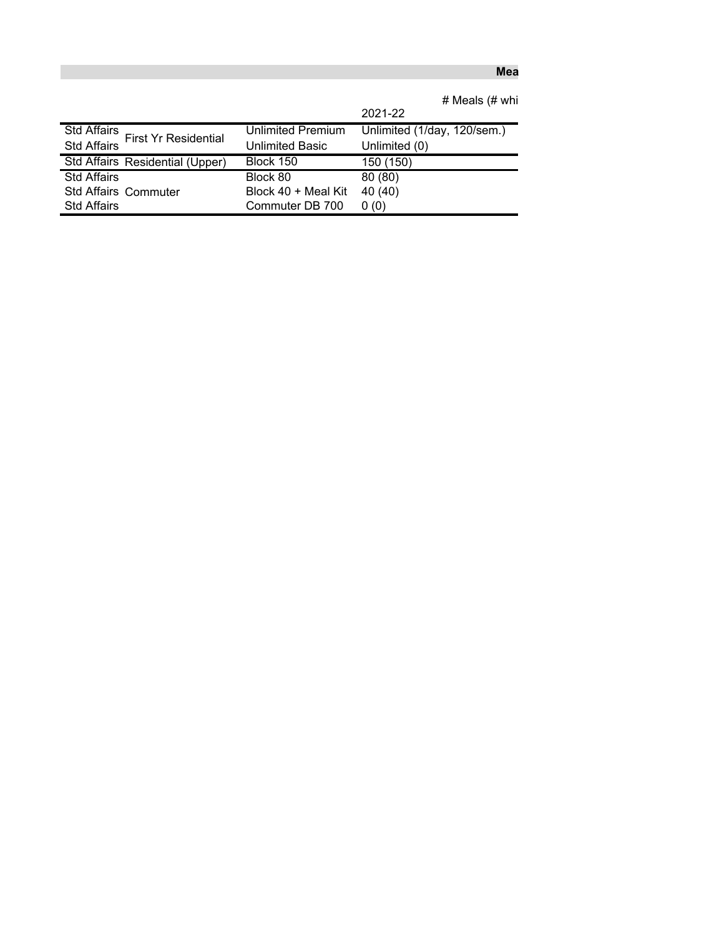## **Mea**

|                                                   |                        | # Meals (# whi              |
|---------------------------------------------------|------------------------|-----------------------------|
|                                                   |                        | 2021-22                     |
| <b>Std Affairs</b><br><b>First Yr Residential</b> | Unlimited Premium      | Unlimited (1/day, 120/sem.) |
| <b>Std Affairs</b>                                | <b>Unlimited Basic</b> | Unlimited (0)               |
| Std Affairs Residential (Upper)                   | Block 150              | 150 (150)                   |
| <b>Std Affairs</b>                                | Block 80               | 80(80)                      |
| <b>Std Affairs Commuter</b>                       | Block 40 + Meal Kit    | 40 (40)                     |
| <b>Std Affairs</b>                                | Commuter DB 700        | 0(0)                        |